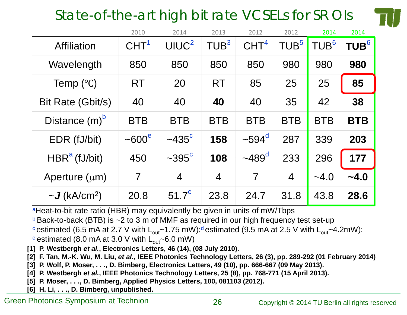# State-of-the-art high bit rate VCSELs for SR OIs



|                                       | 2010                  | 2014                 | 2013             | 2012                 | 2012             | 2014             | 2014             |
|---------------------------------------|-----------------------|----------------------|------------------|----------------------|------------------|------------------|------------------|
| <b>Affiliation</b>                    | CHT <sup>1</sup>      | UIUC <sup>2</sup>    | TUB <sup>3</sup> | CHT <sup>4</sup>     | TUB <sup>5</sup> | TUB <sup>6</sup> | $\mathsf{TUB}^6$ |
| Wavelength                            | 850                   | 850                  | 850              | 850                  | 980              | 980              | 980              |
| Temp $(^{\circ}C)$                    | <b>RT</b>             | 20                   | <b>RT</b>        | 85                   | 25               | 25               | 85               |
| Bit Rate (Gbit/s)                     | 40                    | 40                   | 40               | 40                   | 35               | 42               | 38               |
| Distance $(m)^b$                      | <b>BTB</b>            | <b>BTB</b>           | <b>BTB</b>       | <b>BTB</b>           | <b>BTB</b>       | <b>BTB</b>       | <b>BTB</b>       |
| EDR (fJ/bit)                          | $\sim$ 600 $^{\circ}$ | $\sim$ 435 $\rm{^c}$ | 158              | $\sim$ 594 $\rm ^d$  | 287              | 339              | 203              |
| $HBRa$ (fJ/bit)                       | 450                   | $\sim$ 395 $\rm{^c}$ | 108              | $~1489$ <sup>d</sup> | 233              | 296              | 177              |
| Aperture $(\mu m)$                    | $\overline{7}$        | $\overline{4}$       | $\overline{4}$   | $\overline{7}$       | $\overline{4}$   | $-4.0$           | $-4.0$           |
| $\sim$ <b>J</b> (kA/cm <sup>2</sup> ) | 20.8                  | $51.7^{\circ}$       | 23.8             | 24.7                 | 31.8             | 43.8             | 28.6             |

<sup>a</sup>Heat-to-bit rate ratio (HBR) may equivalently be given in units of mW/Tbps

 $b$  Back-to-back (BTB) is  $\sim$ 2 to 3 m of MMF as required in our high frequency test set-up

cestimated (6.5 mA at 2.7 V with  $L_{out}$  -1.75 mW);<sup>d</sup>estimated (9.5 mA at 2.5 V with  $L_{out}$  -4.2mW);

e estimated (8.0 mA at 3.0 V with  $L_{out}$ ~6.0 mW)

**[1] P. Westbergh** *et al.***, Electronics Letters, 46 (14), (08 July 2010).**

**[2] F. Tan, M.-K. Wu, M. Liu,** *et al.***, IEEE Photonics Technology Letters, 26 (3), pp. 289-292 (01 February 2014)**

**[3] P. Wolf, P. Moser, . . ., D. Bimberg, Electronics Letters, 49 (10), pp. 666-667 (09 May 2013).**

**[4] P. Westbergh** *et al.***, IEEE Photonics Technology Letters, 25 (8), pp. 768-771 (15 April 2013).**

**[5] P. Moser, . . ., D. Bimberg, Applied Physics Letters, 100, 081103 (2012).**

**[6] H. Li, . . ., D. Bimberg, unpublished.**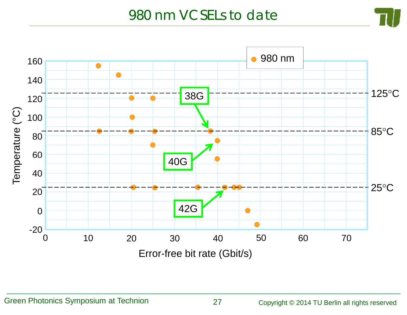#### 980 nm VCSELs to date

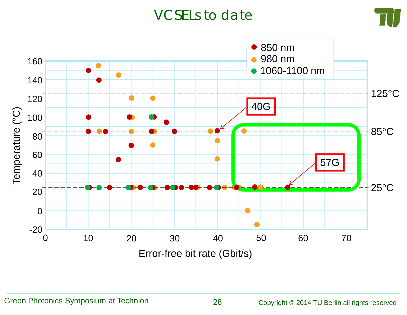## VCSELs to date



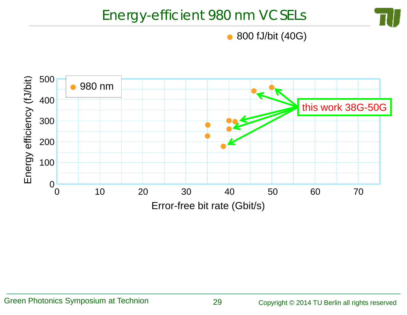## Energy-efficient 980 nm VCSELs



800 fJ/bit (40G)  $\bullet$ 

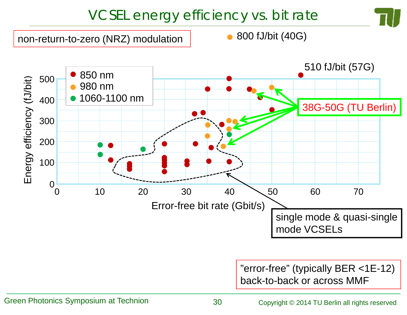# VCSEL energy efficiency vs. bit rate

non-return-to-zero (NRZ) modulation

800 fJ/bit (40G)



"error-free" (typically BER <1E-12) back-to-back or across MMF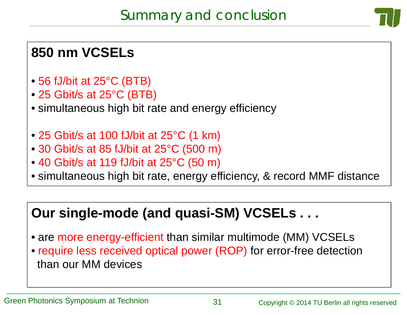## **850 nm VCSELs**

- 56 fJ/bit at 25°C (BTB)
- 25 Gbit/s at 25°C (BTB)
- simultaneous high bit rate and energy efficiency
- 25 Gbit/s at 100 fJ/bit at 25°C (1 km)
- 30 Gbit/s at 85 fJ/bit at 25°C (500 m)
- 40 Gbit/s at 119 fJ/bit at 25°C (50 m)
- simultaneous high bit rate, energy efficiency, & record MMF distance

## **Our single-mode (and quasi-SM) VCSELs . . .**

- are more energy-efficient than similar multimode (MM) VCSELs
- require less received optical power (ROP) for error-free detection than our MM devices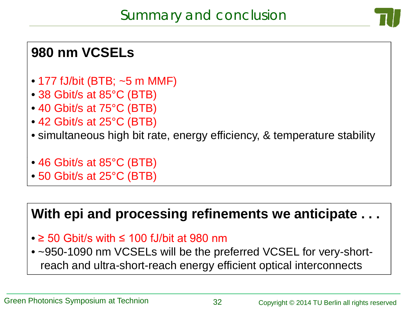### **980 nm VCSELs**

- 177 fJ/bit (BTB; ~5 m MMF)
- 38 Gbit/s at 85°C (BTB)
- 40 Gbit/s at 75°C (BTB)
- 42 Gbit/s at 25°C (BTB)
- simultaneous high bit rate, energy efficiency, & temperature stability
- 46 Gbit/s at 85°C (BTB)
- 50 Gbit/s at 25°C (BTB)

#### **With epi and processing refinements we anticipate . . .**

• ≥ 50 Gbit/s with ≤ 100 fJ/bit at 980 nm

• ~950-1090 nm VCSELs will be the preferred VCSEL for very-shortreach and ultra-short-reach energy efficient optical interconnects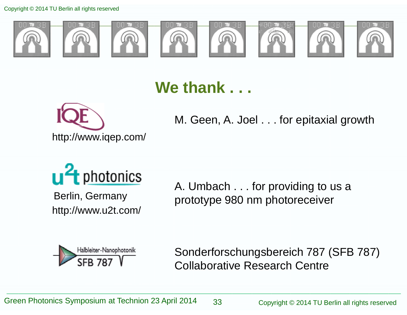Copyright © 2014 TU Berlin all rights reserved



# **We thank . . .**



M. Geen, A. Joel . . . for epitaxial growth



http://www.u2t.com/

A. Umbach . . . for providing to us a Berlin, Germany prototype 980 nm photoreceiver



Sonderforschungsbereich 787 (SFB 787) Collaborative Research Centre